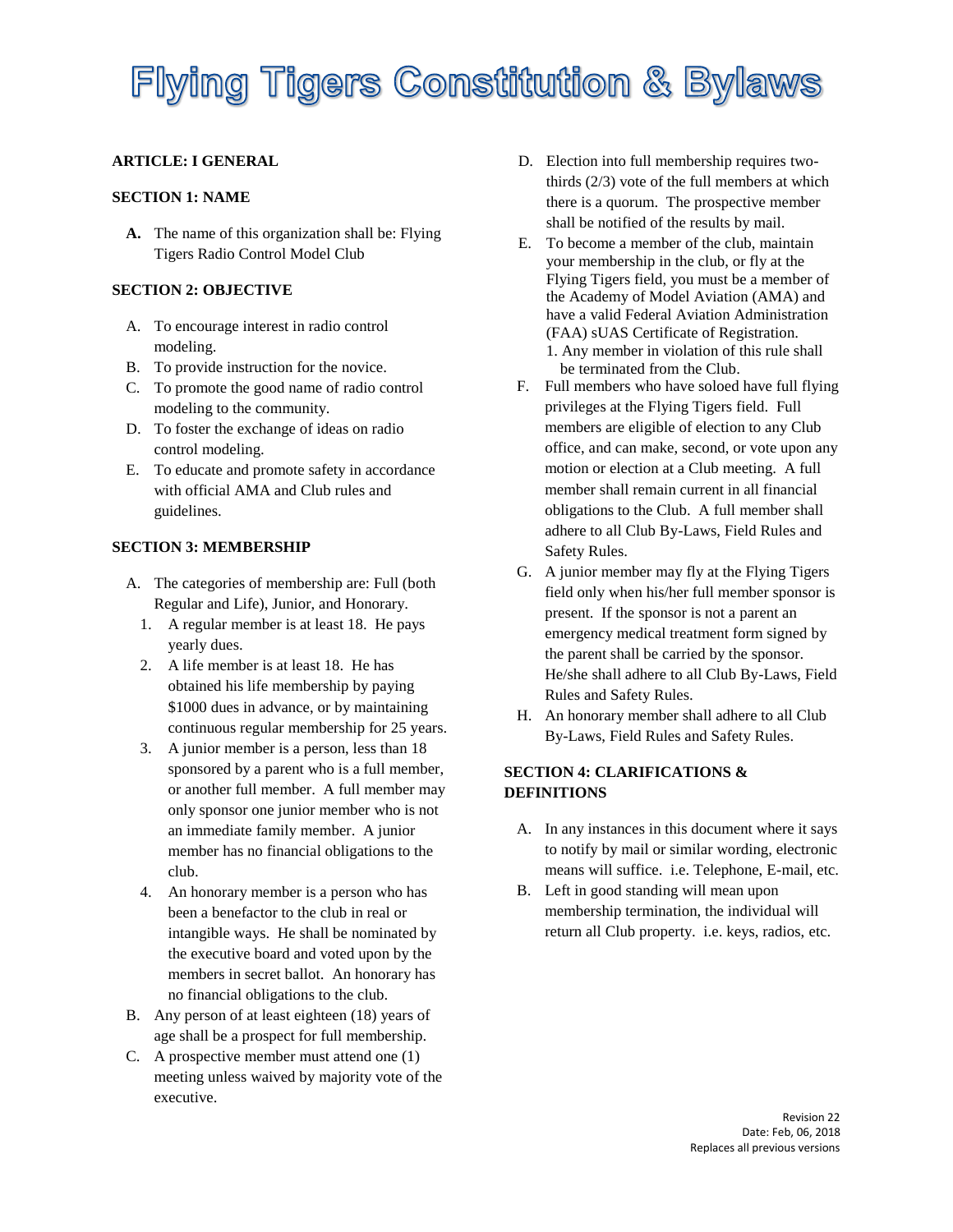### **ARTICLE: I GENERAL**

## **SECTION 1: NAME**

**A.** The name of this organization shall be: Flying Tigers Radio Control Model Club

### **SECTION 2: OBJECTIVE**

- A. To encourage interest in radio control modeling.
- B. To provide instruction for the novice.
- C. To promote the good name of radio control modeling to the community.
- D. To foster the exchange of ideas on radio control modeling.
- E. To educate and promote safety in accordance with official AMA and Club rules and guidelines.

## **SECTION 3: MEMBERSHIP**

- A. The categories of membership are: Full (both Regular and Life), Junior, and Honorary.
	- 1. A regular member is at least 18. He pays yearly dues.
	- 2. A life member is at least 18. He has obtained his life membership by paying \$1000 dues in advance, or by maintaining continuous regular membership for 25 years.
	- 3. A junior member is a person, less than 18 sponsored by a parent who is a full member, or another full member. A full member may only sponsor one junior member who is not an immediate family member. A junior member has no financial obligations to the club.
	- 4. An honorary member is a person who has been a benefactor to the club in real or intangible ways. He shall be nominated by the executive board and voted upon by the members in secret ballot. An honorary has no financial obligations to the club.
- B. Any person of at least eighteen (18) years of age shall be a prospect for full membership.
- C. A prospective member must attend one (1) meeting unless waived by majority vote of the executive.
- D. Election into full membership requires twothirds (2/3) vote of the full members at which there is a quorum. The prospective member shall be notified of the results by mail.
- E. To become a member of the club, maintain your membership in the club, or fly at the Flying Tigers field, you must be a member of the Academy of Model Aviation (AMA) and have a valid Federal Aviation Administration (FAA) sUAS Certificate of Registration. 1. Any member in violation of this rule shall be terminated from the Club.
- F. Full members who have soloed have full flying privileges at the Flying Tigers field. Full members are eligible of election to any Club office, and can make, second, or vote upon any motion or election at a Club meeting. A full member shall remain current in all financial obligations to the Club. A full member shall adhere to all Club By-Laws, Field Rules and Safety Rules.
- G. A junior member may fly at the Flying Tigers field only when his/her full member sponsor is present. If the sponsor is not a parent an emergency medical treatment form signed by the parent shall be carried by the sponsor. He/she shall adhere to all Club By-Laws, Field Rules and Safety Rules.
- H. An honorary member shall adhere to all Club By-Laws, Field Rules and Safety Rules.

## **SECTION 4: CLARIFICATIONS & DEFINITIONS**

- A. In any instances in this document where it says to notify by mail or similar wording, electronic means will suffice. i.e. Telephone, E-mail, etc.
- B. Left in good standing will mean upon membership termination, the individual will return all Club property. i.e. keys, radios, etc.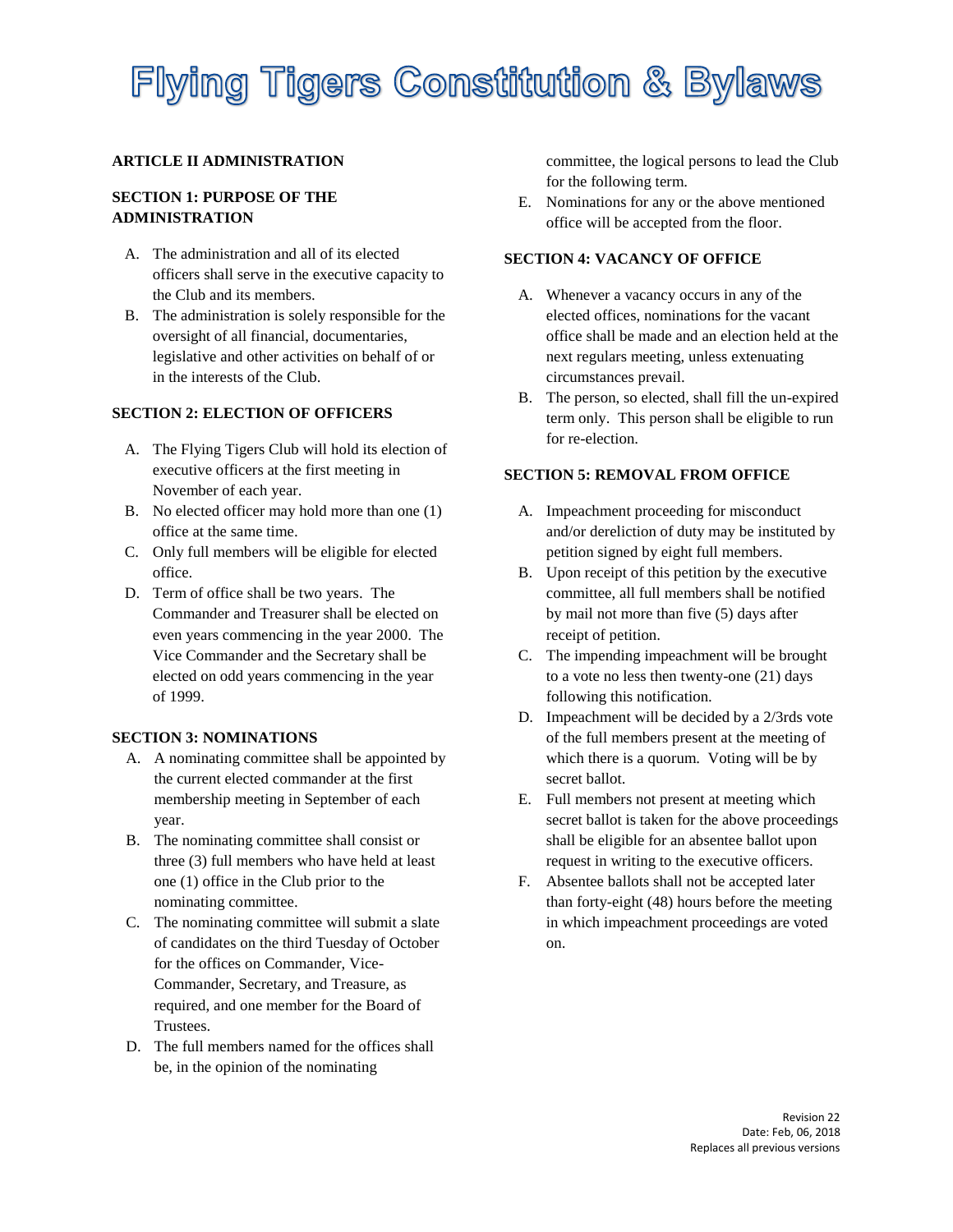### **ARTICLE II ADMINISTRATION**

## **SECTION 1: PURPOSE OF THE ADMINISTRATION**

- A. The administration and all of its elected officers shall serve in the executive capacity to the Club and its members.
- B. The administration is solely responsible for the oversight of all financial, documentaries, legislative and other activities on behalf of or in the interests of the Club.

## **SECTION 2: ELECTION OF OFFICERS**

- A. The Flying Tigers Club will hold its election of executive officers at the first meeting in November of each year.
- B. No elected officer may hold more than one (1) office at the same time.
- C. Only full members will be eligible for elected office.
- D. Term of office shall be two years. The Commander and Treasurer shall be elected on even years commencing in the year 2000. The Vice Commander and the Secretary shall be elected on odd years commencing in the year of 1999.

### **SECTION 3: NOMINATIONS**

- A. A nominating committee shall be appointed by the current elected commander at the first membership meeting in September of each year.
- B. The nominating committee shall consist or three (3) full members who have held at least one (1) office in the Club prior to the nominating committee.
- C. The nominating committee will submit a slate of candidates on the third Tuesday of October for the offices on Commander, Vice-Commander, Secretary, and Treasure, as required, and one member for the Board of Trustees.
- D. The full members named for the offices shall be, in the opinion of the nominating

committee, the logical persons to lead the Club for the following term.

E. Nominations for any or the above mentioned office will be accepted from the floor.

### **SECTION 4: VACANCY OF OFFICE**

- A. Whenever a vacancy occurs in any of the elected offices, nominations for the vacant office shall be made and an election held at the next regulars meeting, unless extenuating circumstances prevail.
- B. The person, so elected, shall fill the un-expired term only. This person shall be eligible to run for re-election.

## **SECTION 5: REMOVAL FROM OFFICE**

- A. Impeachment proceeding for misconduct and/or dereliction of duty may be instituted by petition signed by eight full members.
- B. Upon receipt of this petition by the executive committee, all full members shall be notified by mail not more than five (5) days after receipt of petition.
- C. The impending impeachment will be brought to a vote no less then twenty-one (21) days following this notification.
- D. Impeachment will be decided by a 2/3rds vote of the full members present at the meeting of which there is a quorum. Voting will be by secret ballot.
- E. Full members not present at meeting which secret ballot is taken for the above proceedings shall be eligible for an absentee ballot upon request in writing to the executive officers.
- F. Absentee ballots shall not be accepted later than forty-eight (48) hours before the meeting in which impeachment proceedings are voted on.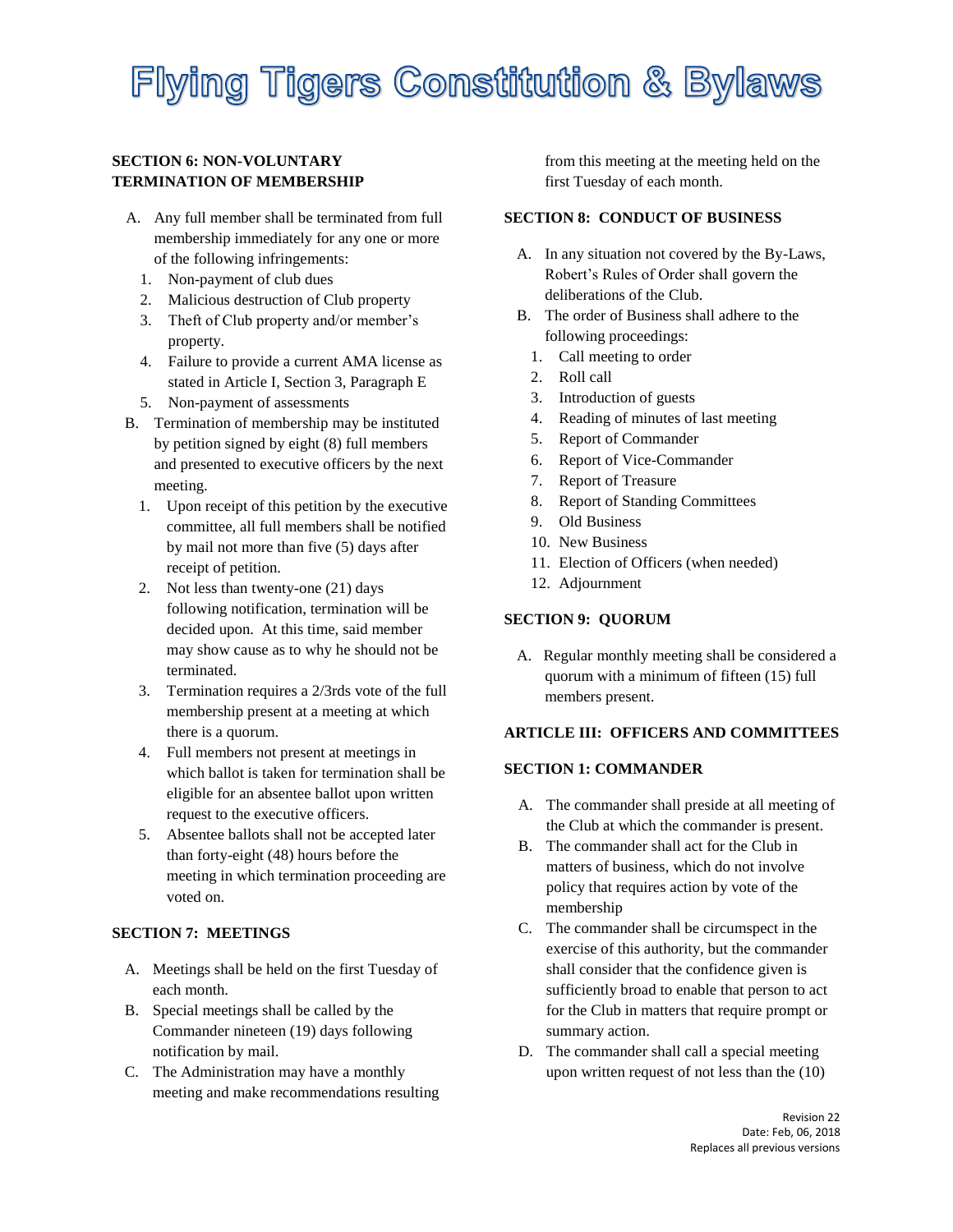### **SECTION 6: NON-VOLUNTARY TERMINATION OF MEMBERSHIP**

- A. Any full member shall be terminated from full membership immediately for any one or more of the following infringements:
	- 1. Non-payment of club dues
	- 2. Malicious destruction of Club property
	- 3. Theft of Club property and/or member's property.
	- 4. Failure to provide a current AMA license as stated in Article I, Section 3, Paragraph E
	- 5. Non-payment of assessments
- B. Termination of membership may be instituted by petition signed by eight (8) full members and presented to executive officers by the next meeting.
	- 1. Upon receipt of this petition by the executive committee, all full members shall be notified by mail not more than five (5) days after receipt of petition.
	- 2. Not less than twenty-one (21) days following notification, termination will be decided upon. At this time, said member may show cause as to why he should not be terminated.
	- 3. Termination requires a 2/3rds vote of the full membership present at a meeting at which there is a quorum.
	- 4. Full members not present at meetings in which ballot is taken for termination shall be eligible for an absentee ballot upon written request to the executive officers.
	- 5. Absentee ballots shall not be accepted later than forty-eight (48) hours before the meeting in which termination proceeding are voted on.

### **SECTION 7: MEETINGS**

- A. Meetings shall be held on the first Tuesday of each month.
- B. Special meetings shall be called by the Commander nineteen (19) days following notification by mail.
- C. The Administration may have a monthly meeting and make recommendations resulting

from this meeting at the meeting held on the first Tuesday of each month.

### **SECTION 8: CONDUCT OF BUSINESS**

- A. In any situation not covered by the By-Laws, Robert's Rules of Order shall govern the deliberations of the Club.
- B. The order of Business shall adhere to the following proceedings:
	- 1. Call meeting to order
	- 2. Roll call
	- 3. Introduction of guests
	- 4. Reading of minutes of last meeting
	- 5. Report of Commander
	- 6. Report of Vice-Commander
	- 7. Report of Treasure
	- 8. Report of Standing Committees
	- 9. Old Business
	- 10. New Business
	- 11. Election of Officers (when needed)
	- 12. Adjournment

## **SECTION 9: QUORUM**

A. Regular monthly meeting shall be considered a quorum with a minimum of fifteen (15) full members present.

### **ARTICLE III: OFFICERS AND COMMITTEES**

### **SECTION 1: COMMANDER**

- A. The commander shall preside at all meeting of the Club at which the commander is present.
- B. The commander shall act for the Club in matters of business, which do not involve policy that requires action by vote of the membership
- C. The commander shall be circumspect in the exercise of this authority, but the commander shall consider that the confidence given is sufficiently broad to enable that person to act for the Club in matters that require prompt or summary action.
- D. The commander shall call a special meeting upon written request of not less than the (10)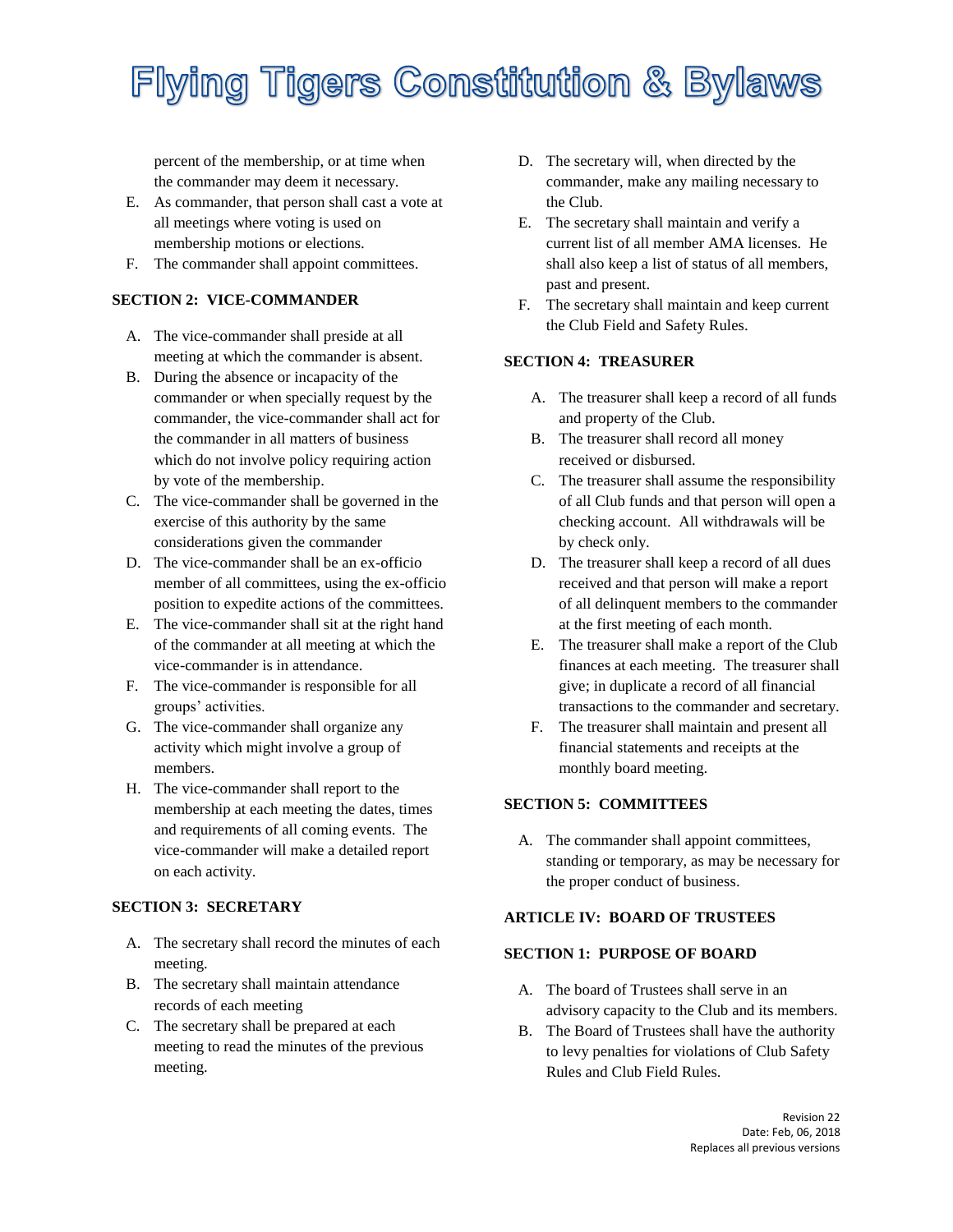percent of the membership, or at time when the commander may deem it necessary.

- E. As commander, that person shall cast a vote at all meetings where voting is used on membership motions or elections.
- F. The commander shall appoint committees.

## **SECTION 2: VICE-COMMANDER**

- A. The vice-commander shall preside at all meeting at which the commander is absent.
- B. During the absence or incapacity of the commander or when specially request by the commander, the vice-commander shall act for the commander in all matters of business which do not involve policy requiring action by vote of the membership.
- C. The vice-commander shall be governed in the exercise of this authority by the same considerations given the commander
- D. The vice-commander shall be an ex-officio member of all committees, using the ex-officio position to expedite actions of the committees.
- E. The vice-commander shall sit at the right hand of the commander at all meeting at which the vice-commander is in attendance.
- F. The vice-commander is responsible for all groups' activities.
- G. The vice-commander shall organize any activity which might involve a group of members.
- H. The vice-commander shall report to the membership at each meeting the dates, times and requirements of all coming events. The vice-commander will make a detailed report on each activity.

## **SECTION 3: SECRETARY**

- A. The secretary shall record the minutes of each meeting.
- B. The secretary shall maintain attendance records of each meeting
- C. The secretary shall be prepared at each meeting to read the minutes of the previous meeting.
- D. The secretary will, when directed by the commander, make any mailing necessary to the Club.
- E. The secretary shall maintain and verify a current list of all member AMA licenses. He shall also keep a list of status of all members, past and present.
- F. The secretary shall maintain and keep current the Club Field and Safety Rules.

## **SECTION 4: TREASURER**

- A. The treasurer shall keep a record of all funds and property of the Club.
- B. The treasurer shall record all money received or disbursed.
- C. The treasurer shall assume the responsibility of all Club funds and that person will open a checking account. All withdrawals will be by check only.
- D. The treasurer shall keep a record of all dues received and that person will make a report of all delinquent members to the commander at the first meeting of each month.
- E. The treasurer shall make a report of the Club finances at each meeting. The treasurer shall give; in duplicate a record of all financial transactions to the commander and secretary.
- F. The treasurer shall maintain and present all financial statements and receipts at the monthly board meeting.

## **SECTION 5: COMMITTEES**

A. The commander shall appoint committees, standing or temporary, as may be necessary for the proper conduct of business.

### **ARTICLE IV: BOARD OF TRUSTEES**

### **SECTION 1: PURPOSE OF BOARD**

- A. The board of Trustees shall serve in an advisory capacity to the Club and its members.
- B. The Board of Trustees shall have the authority to levy penalties for violations of Club Safety Rules and Club Field Rules.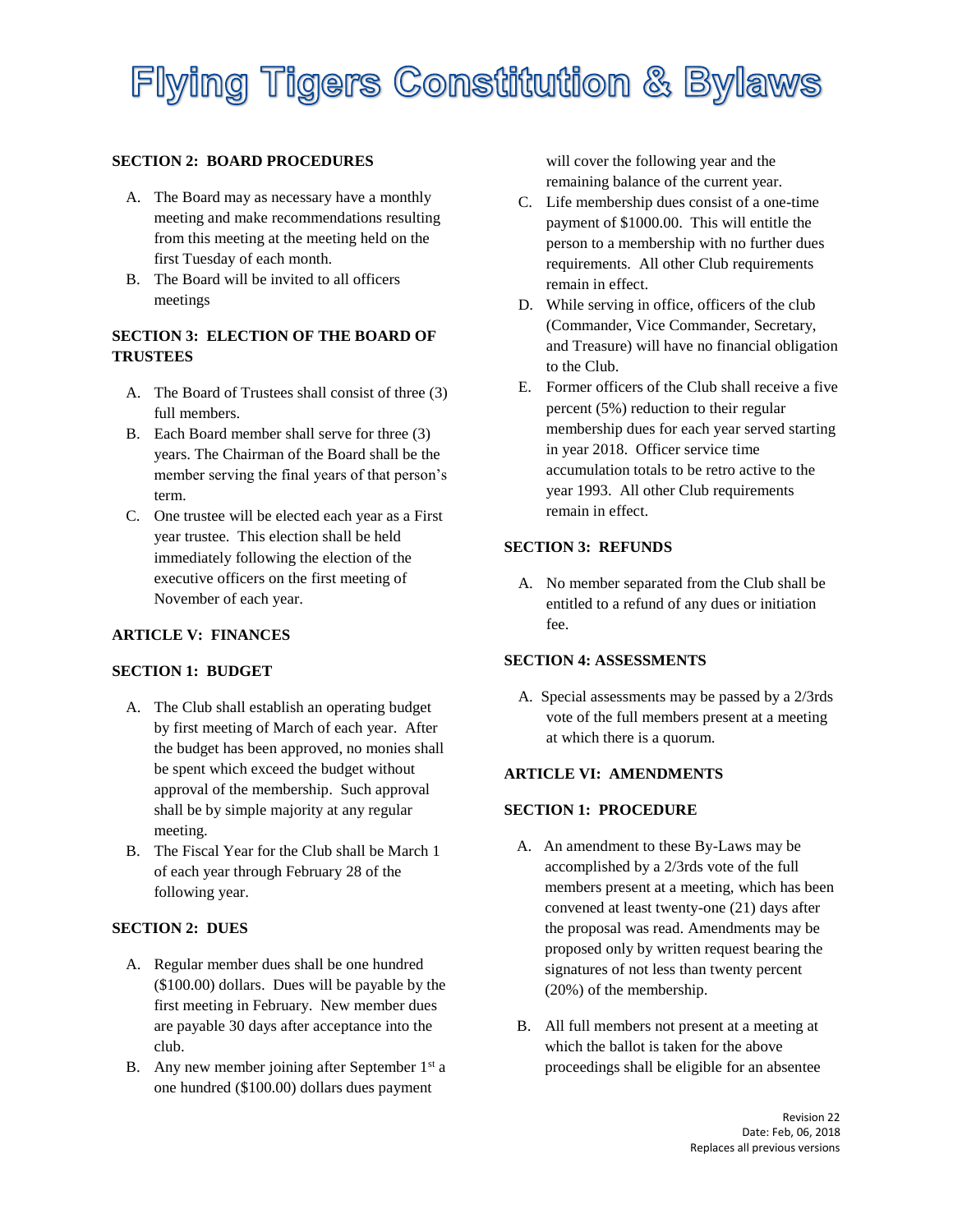### **SECTION 2: BOARD PROCEDURES**

- A. The Board may as necessary have a monthly meeting and make recommendations resulting from this meeting at the meeting held on the first Tuesday of each month.
- B. The Board will be invited to all officers meetings

## **SECTION 3: ELECTION OF THE BOARD OF TRUSTEES**

- A. The Board of Trustees shall consist of three (3) full members.
- B. Each Board member shall serve for three (3) years. The Chairman of the Board shall be the member serving the final years of that person's term.
- C. One trustee will be elected each year as a First year trustee. This election shall be held immediately following the election of the executive officers on the first meeting of November of each year.

### **ARTICLE V: FINANCES**

### **SECTION 1: BUDGET**

- A. The Club shall establish an operating budget by first meeting of March of each year. After the budget has been approved, no monies shall be spent which exceed the budget without approval of the membership. Such approval shall be by simple majority at any regular meeting.
- B. The Fiscal Year for the Club shall be March 1 of each year through February 28 of the following year.

### **SECTION 2: DUES**

- A. Regular member dues shall be one hundred (\$100.00) dollars. Dues will be payable by the first meeting in February. New member dues are payable 30 days after acceptance into the club.
- B. Any new member joining after September  $1<sup>st</sup>$  a one hundred (\$100.00) dollars dues payment

will cover the following year and the remaining balance of the current year.

- C. Life membership dues consist of a one-time payment of \$1000.00. This will entitle the person to a membership with no further dues requirements. All other Club requirements remain in effect.
- D. While serving in office, officers of the club (Commander, Vice Commander, Secretary, and Treasure) will have no financial obligation to the Club.
- E. Former officers of the Club shall receive a five percent (5%) reduction to their regular membership dues for each year served starting in year 2018. Officer service time accumulation totals to be retro active to the year 1993. All other Club requirements remain in effect.

## **SECTION 3: REFUNDS**

A. No member separated from the Club shall be entitled to a refund of any dues or initiation fee.

## **SECTION 4: ASSESSMENTS**

A. Special assessments may be passed by a 2/3rds vote of the full members present at a meeting at which there is a quorum.

### **ARTICLE VI: AMENDMENTS**

### **SECTION 1: PROCEDURE**

- A. An amendment to these By-Laws may be accomplished by a 2/3rds vote of the full members present at a meeting, which has been convened at least twenty-one (21) days after the proposal was read. Amendments may be proposed only by written request bearing the signatures of not less than twenty percent (20%) of the membership.
- B. All full members not present at a meeting at which the ballot is taken for the above proceedings shall be eligible for an absentee